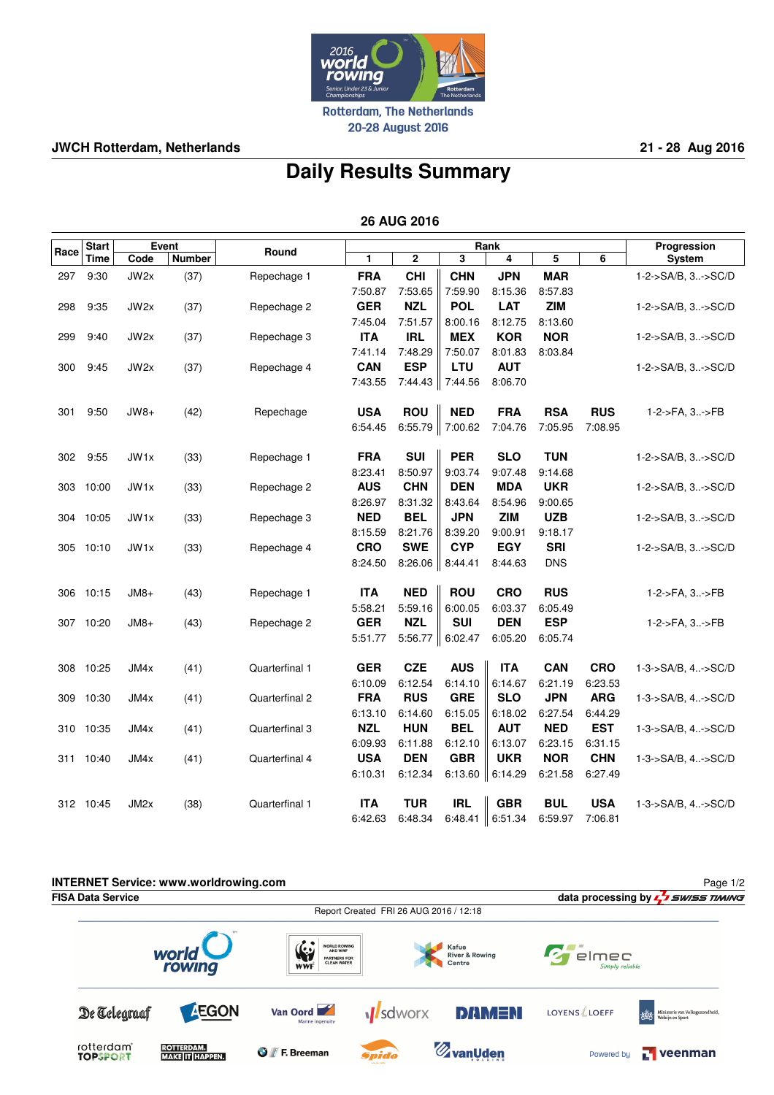

**JWCH Rotterdam, Netherlands 21 - 28 Aug 2016**

## **Daily Results Summary**

 **26 AUG 2016**

|      | <b>Start</b> | Event             |        |                | Rank       |             |                     |            |            |            | Progression        |
|------|--------------|-------------------|--------|----------------|------------|-------------|---------------------|------------|------------|------------|--------------------|
| Race | <b>Time</b>  | Code              | Number | Round          | 1          | $\mathbf 2$ | 3                   | 4          | 5          | 6          | System             |
| 297  | 9:30         | JW2x              | (37)   | Repechage 1    | <b>FRA</b> | <b>CHI</b>  | <b>CHN</b>          | <b>JPN</b> | <b>MAR</b> |            | 1-2->SA/B, 3->SC/D |
|      |              |                   |        |                | 7:50.87    | 7:53.65     | 7:59.90             | 8:15.36    | 8:57.83    |            |                    |
| 298  | 9:35         | JW2x              | (37)   | Repechage 2    | <b>GER</b> | <b>NZL</b>  | <b>POL</b>          | <b>LAT</b> | <b>ZIM</b> |            | 1-2->SA/B, 3->SC/D |
|      |              |                   |        |                | 7:45.04    | 7:51.57     | 8:00.16             | 8:12.75    | 8:13.60    |            |                    |
| 299  | 9:40         | JW2x              | (37)   | Repechage 3    | <b>ITA</b> | <b>IRL</b>  | <b>MEX</b>          | <b>KOR</b> | <b>NOR</b> |            | 1-2->SA/B, 3->SC/D |
|      |              |                   |        |                | 7:41.14    | 7:48.29     | 7:50.07             | 8:01.83    | 8:03.84    |            |                    |
| 300  | 9:45         | JW2x              | (37)   | Repechage 4    | <b>CAN</b> | <b>ESP</b>  | LTU                 | <b>AUT</b> |            |            | 1-2->SA/B, 3->SC/D |
|      |              |                   |        |                | 7:43.55    | 7:44.43     | $\parallel$ 7:44.56 | 8:06.70    |            |            |                    |
| 301  | 9:50         | JW8+              | (42)   | Repechage      | <b>USA</b> | <b>ROU</b>  | <b>NED</b>          | <b>FRA</b> | <b>RSA</b> | <b>RUS</b> | 1-2->FA, 3->FB     |
|      |              |                   |        |                | 6:54.45    |             | 6:55.79 7:00.62     | 7:04.76    | 7:05.95    | 7:08.95    |                    |
| 302  | 9:55         | JW1x              | (33)   | Repechage 1    | <b>FRA</b> | <b>SUI</b>  | <b>PER</b>          | <b>SLO</b> | <b>TUN</b> |            | 1-2->SA/B, 3->SC/D |
|      |              |                   |        |                | 8:23.41    | 8:50.97     | 9:03.74             | 9:07.48    | 9:14.68    |            |                    |
| 303  | 10:00        | JW1x              | (33)   | Repechage 2    | <b>AUS</b> | <b>CHN</b>  | <b>DEN</b>          | <b>MDA</b> | <b>UKR</b> |            | 1-2->SA/B, 3->SC/D |
|      |              |                   |        |                | 8:26.97    | 8:31.32     | 8:43.64             | 8:54.96    | 9:00.65    |            |                    |
| 304  | 10:05        | JW1x              | (33)   | Repechage 3    | <b>NED</b> | <b>BEL</b>  | <b>JPN</b>          | <b>ZIM</b> | <b>UZB</b> |            | 1-2->SA/B, 3->SC/D |
|      |              |                   |        |                | 8:15.59    | 8:21.76     | 8:39.20             | 9:00.91    | 9:18.17    |            |                    |
| 305  | 10:10        | JW1x              | (33)   | Repechage 4    | <b>CRO</b> | <b>SWE</b>  | <b>CYP</b>          | <b>EGY</b> | <b>SRI</b> |            | 1-2->SA/B, 3->SC/D |
|      |              |                   |        |                | 8:24.50    | 8:26.06     | 8:44.41             | 8:44.63    | <b>DNS</b> |            |                    |
| 306  | 10:15        | $JM8+$            | (43)   | Repechage 1    | <b>ITA</b> | <b>NED</b>  | <b>ROU</b>          | <b>CRO</b> | <b>RUS</b> |            | 1-2->FA, 3->FB     |
|      |              |                   |        |                | 5:58.21    | 5:59.16     | 6:00.05             | 6:03.37    | 6:05.49    |            |                    |
|      | 307 10:20    | $JM8+$            | (43)   | Repechage 2    | <b>GER</b> | <b>NZL</b>  | <b>SUI</b>          | <b>DEN</b> | <b>ESP</b> |            | 1-2->FA, 3->FB     |
|      |              |                   |        |                | 5:51.77    |             | 5:56.77 6:02.47     | 6:05.20    | 6:05.74    |            |                    |
| 308  | 10:25        | JM4x              | (41)   | Quarterfinal 1 | <b>GER</b> | <b>CZE</b>  | <b>AUS</b>          | <b>ITA</b> | <b>CAN</b> | <b>CRO</b> | 1-3->SA/B, 4->SC/D |
|      |              |                   |        |                | 6:10.09    | 6:12.54     | 6:14.10             | 6:14.67    | 6:21.19    | 6:23.53    |                    |
| 309  | 10:30        | JM4x              | (41)   | Quarterfinal 2 | <b>FRA</b> | <b>RUS</b>  | <b>GRE</b>          | <b>SLO</b> | <b>JPN</b> | <b>ARG</b> | 1-3->SA/B, 4->SC/D |
|      |              |                   |        |                | 6:13.10    | 6:14.60     | 6:15.05             | 6:18.02    | 6:27.54    | 6:44.29    |                    |
| 310  | 10:35        | JM4x              | (41)   | Quarterfinal 3 | <b>NZL</b> | <b>HUN</b>  | <b>BEL</b>          | <b>AUT</b> | <b>NED</b> | <b>EST</b> | 1-3->SA/B, 4->SC/D |
|      |              |                   |        |                | 6:09.93    | 6:11.88     | 6:12.10             | 6:13.07    | 6:23.15    | 6:31.15    |                    |
| 311  | 10:40        | JM4x              | (41)   | Quarterfinal 4 | <b>USA</b> | <b>DEN</b>  | <b>GBR</b>          | <b>UKR</b> | <b>NOR</b> | <b>CHN</b> | 1-3->SA/B, 4->SC/D |
|      |              |                   |        |                | 6:10.31    | 6:12.34     | 6:13.60             | 6:14.29    | 6:21.58    | 6:27.49    |                    |
|      | 312 10:45    | JM <sub>2</sub> x | (38)   | Quarterfinal 1 | <b>ITA</b> | <b>TUR</b>  | <b>IRL</b>          | <b>GBR</b> | <b>BUL</b> | <b>USA</b> | 1-3->SA/B, 4->SC/D |
|      |              |                   |        |                | 6:42.63    | 6:48.34     | 6:48.41             | 6:51.34    | 6:59.97    | 7:06.81    |                    |